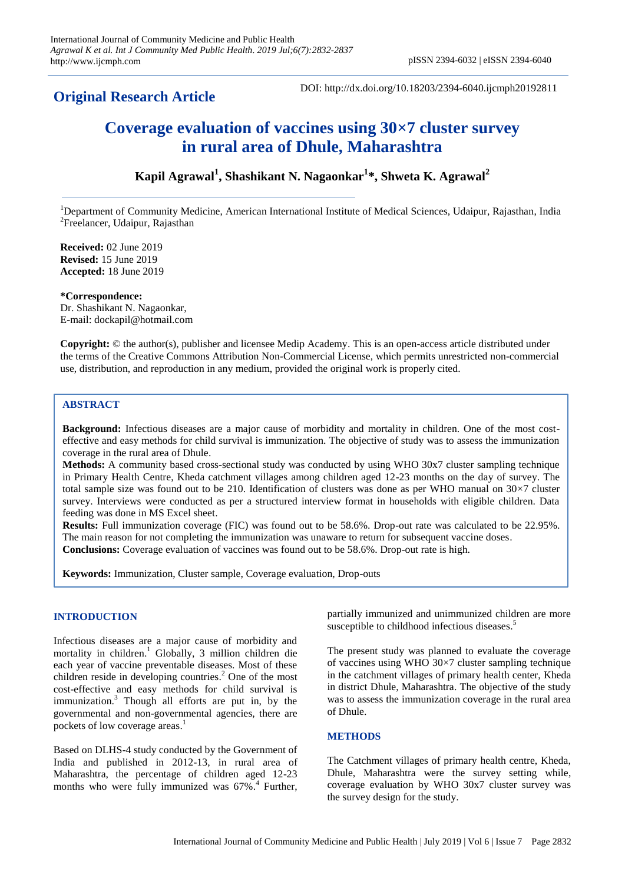# **Original Research Article**

DOI: http://dx.doi.org/10.18203/2394-6040.ijcmph20192811

# **Coverage evaluation of vaccines using 30×7 cluster survey in rural area of Dhule, Maharashtra**

## **Kapil Agrawal<sup>1</sup> , Shashikant N. Nagaonkar<sup>1</sup> \*, Shweta K. Agrawal<sup>2</sup>**

<sup>1</sup>Department of Community Medicine, American International Institute of Medical Sciences, Udaipur, Rajasthan, India <sup>2</sup>Freelancer, Udaipur, Rajasthan

**Received:** 02 June 2019 **Revised:** 15 June 2019 **Accepted:** 18 June 2019

**\*Correspondence:** Dr. Shashikant N. Nagaonkar, E-mail: dockapil@hotmail.com

**Copyright:** © the author(s), publisher and licensee Medip Academy. This is an open-access article distributed under the terms of the Creative Commons Attribution Non-Commercial License, which permits unrestricted non-commercial use, distribution, and reproduction in any medium, provided the original work is properly cited.

## **ABSTRACT**

**Background:** Infectious diseases are a major cause of morbidity and mortality in children. One of the most costeffective and easy methods for child survival is immunization. The objective of study was to assess the immunization coverage in the rural area of Dhule.

**Methods:** A community based cross-sectional study was conducted by using WHO 30x7 cluster sampling technique in Primary Health Centre, Kheda catchment villages among children aged 12-23 months on the day of survey. The total sample size was found out to be 210. Identification of clusters was done as per WHO manual on 30×7 cluster survey. Interviews were conducted as per a structured interview format in households with eligible children. Data feeding was done in MS Excel sheet.

**Results:** Full immunization coverage (FIC) was found out to be 58.6%. Drop-out rate was calculated to be 22.95%. The main reason for not completing the immunization was unaware to return for subsequent vaccine doses. **Conclusions:** Coverage evaluation of vaccines was found out to be 58.6%. Drop-out rate is high.

**Keywords:** Immunization, Cluster sample, Coverage evaluation, Drop-outs

## **INTRODUCTION**

Infectious diseases are a major cause of morbidity and mortality in children. <sup>1</sup> Globally, 3 million children die each year of vaccine preventable diseases. Most of these children reside in developing countries. <sup>2</sup> One of the most cost-effective and easy methods for child survival is immunization. <sup>3</sup> Though all efforts are put in, by the governmental and non-governmental agencies, there are pockets of low coverage areas.<sup>1</sup>

Based on DLHS-4 study conducted by the Government of India and published in 2012-13, in rural area of Maharashtra, the percentage of children aged 12-23 months who were fully immunized was 67%. 4 Further, partially immunized and unimmunized children are more susceptible to childhood infectious diseases.<sup>5</sup>

The present study was planned to evaluate the coverage of vaccines using WHO 30×7 cluster sampling technique in the catchment villages of primary health center, Kheda in district Dhule, Maharashtra. The objective of the study was to assess the immunization coverage in the rural area of Dhule.

## **METHODS**

The Catchment villages of primary health centre, Kheda, Dhule, Maharashtra were the survey setting while, coverage evaluation by WHO 30x7 cluster survey was the survey design for the study.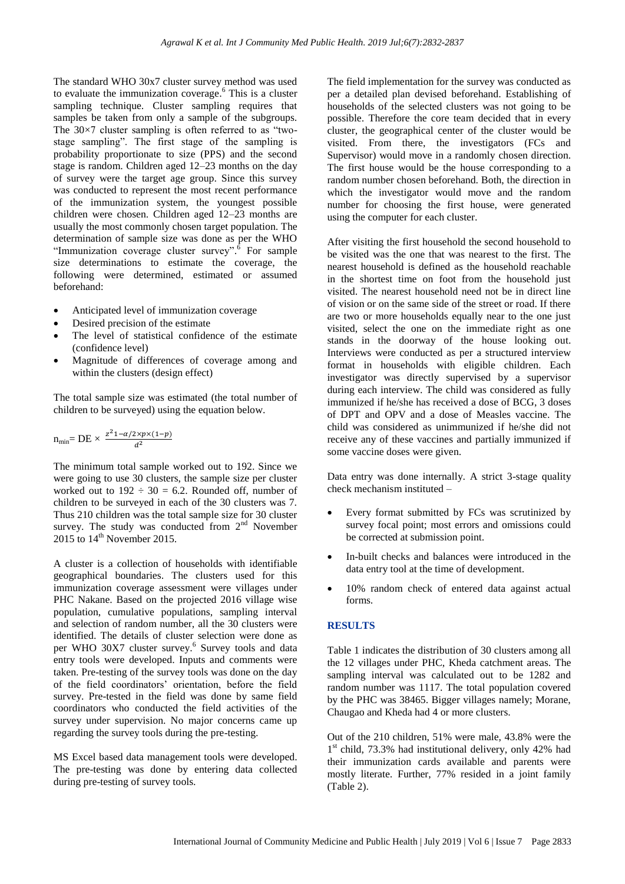The standard WHO 30x7 cluster survey method was used to evaluate the immunization coverage. <sup>6</sup> This is a cluster sampling technique. Cluster sampling requires that samples be taken from only a sample of the subgroups. The  $30\times7$  cluster sampling is often referred to as "twostage sampling". The first stage of the sampling is probability proportionate to size (PPS) and the second stage is random. Children aged 12–23 months on the day of survey were the target age group. Since this survey was conducted to represent the most recent performance of the immunization system, the youngest possible children were chosen. Children aged 12–23 months are usually the most commonly chosen target population. The determination of sample size was done as per the WHO "Immunization coverage cluster survey".<sup>6</sup> For sample size determinations to estimate the coverage, the following were determined, estimated or assumed beforehand:

- Anticipated level of immunization coverage
- Desired precision of the estimate
- The level of statistical confidence of the estimate (confidence level)
- Magnitude of differences of coverage among and within the clusters (design effect)

The total sample size was estimated (the total number of children to be surveyed) using the equation below.

$$
n_{\min} = DE \times \frac{z^2 1 - \alpha/2 \times p \times (1 - p)}{d^2}
$$

The minimum total sample worked out to 192. Since we were going to use 30 clusters, the sample size per cluster worked out to  $192 \div 30 = 6.2$ . Rounded off, number of children to be surveyed in each of the 30 clusters was 7. Thus 210 children was the total sample size for 30 cluster survey. The study was conducted from  $2<sup>nd</sup>$  November 2015 to  $14<sup>th</sup>$  November 2015.

A cluster is a collection of households with identifiable geographical boundaries. The clusters used for this immunization coverage assessment were villages under PHC Nakane. Based on the projected 2016 village wise population, cumulative populations, sampling interval and selection of random number, all the 30 clusters were identified. The details of cluster selection were done as per WHO 30X7 cluster survey. 6 Survey tools and data entry tools were developed. Inputs and comments were taken. Pre-testing of the survey tools was done on the day of the field coordinators' orientation, before the field survey. Pre-tested in the field was done by same field coordinators who conducted the field activities of the survey under supervision. No major concerns came up regarding the survey tools during the pre-testing.

MS Excel based data management tools were developed. The pre-testing was done by entering data collected during pre-testing of survey tools.

The field implementation for the survey was conducted as per a detailed plan devised beforehand. Establishing of households of the selected clusters was not going to be possible. Therefore the core team decided that in every cluster, the geographical center of the cluster would be visited. From there, the investigators (FCs and Supervisor) would move in a randomly chosen direction. The first house would be the house corresponding to a random number chosen beforehand. Both, the direction in which the investigator would move and the random number for choosing the first house, were generated using the computer for each cluster.

After visiting the first household the second household to be visited was the one that was nearest to the first. The nearest household is defined as the household reachable in the shortest time on foot from the household just visited. The nearest household need not be in direct line of vision or on the same side of the street or road. If there are two or more households equally near to the one just visited, select the one on the immediate right as one stands in the doorway of the house looking out. Interviews were conducted as per a structured interview format in households with eligible children. Each investigator was directly supervised by a supervisor during each interview. The child was considered as fully immunized if he/she has received a dose of BCG, 3 doses of DPT and OPV and a dose of Measles vaccine. The child was considered as unimmunized if he/she did not receive any of these vaccines and partially immunized if some vaccine doses were given.

Data entry was done internally. A strict 3-stage quality check mechanism instituted –

- Every format submitted by FCs was scrutinized by survey focal point; most errors and omissions could be corrected at submission point.
- In-built checks and balances were introduced in the data entry tool at the time of development.
- 10% random check of entered data against actual forms.

### **RESULTS**

Table 1 indicates the distribution of 30 clusters among all the 12 villages under PHC, Kheda catchment areas. The sampling interval was calculated out to be 1282 and random number was 1117. The total population covered by the PHC was 38465. Bigger villages namely; Morane, Chaugao and Kheda had 4 or more clusters.

Out of the 210 children, 51% were male, 43.8% were the 1 st child, 73.3% had institutional delivery, only 42% had their immunization cards available and parents were mostly literate. Further, 77% resided in a joint family (Table 2).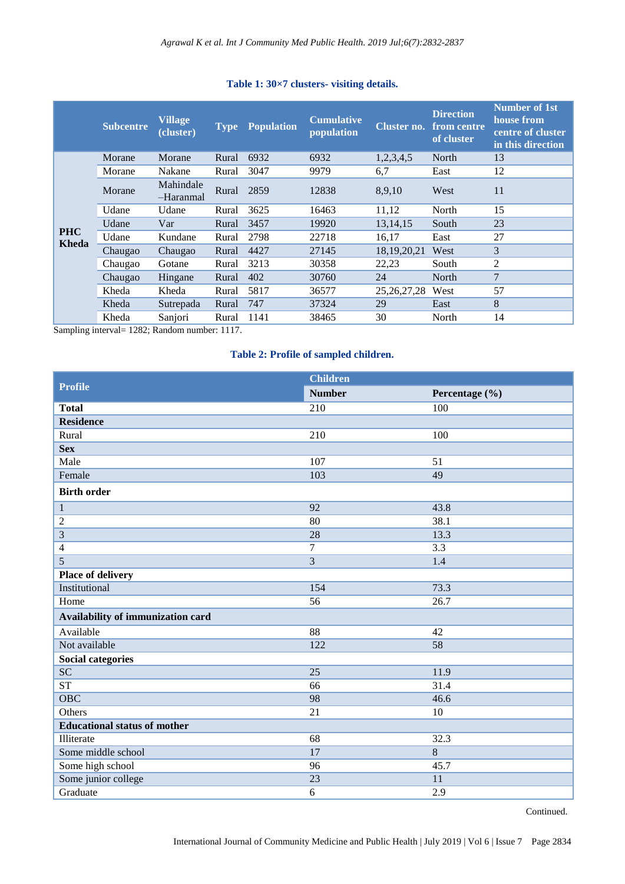|                     | <b>Subcentre</b> | <b>Village</b><br>(cluster) | <b>Type</b> | <b>Population</b> | <b>Cumulative</b><br>population | Cluster no.    | <b>Direction</b><br>from centre<br>of cluster | Number of 1st<br>house from<br>centre of cluster<br>in this direction |
|---------------------|------------------|-----------------------------|-------------|-------------------|---------------------------------|----------------|-----------------------------------------------|-----------------------------------------------------------------------|
| <b>PHC</b><br>Kheda | Morane           | Morane                      | Rural       | 6932              | 6932                            | 1,2,3,4,5      | North                                         | 13                                                                    |
|                     | Morane           | Nakane                      | Rural       | 3047              | 9979                            | 6,7            | East                                          | 12                                                                    |
|                     | Morane           | Mahindale<br>-Haranmal      | Rural       | 2859              | 12838                           | 8,9,10         | West                                          | 11                                                                    |
|                     | Udane            | Udane                       | Rural       | 3625              | 16463                           | 11,12          | North                                         | 15                                                                    |
|                     | Udane            | Var                         | Rural       | 3457              | 19920                           | 13, 14, 15     | South                                         | 23                                                                    |
|                     | Udane            | Kundane                     | Rural       | 2798              | 22718                           | 16,17          | East                                          | 27                                                                    |
|                     | Chaugao          | Chaugao                     | Rural       | 4427              | 27145                           | 18, 19, 20, 21 | West                                          | 3                                                                     |
|                     | Chaugao          | Gotane                      | Rural       | 3213              | 30358                           | 22,23          | South                                         | 2                                                                     |
|                     | Chaugao          | Hingane                     | Rural       | 402               | 30760                           | 24             | North                                         | $\overline{7}$                                                        |
|                     | Kheda            | Kheda                       | Rural       | 5817              | 36577                           | 25, 26, 27, 28 | West                                          | 57                                                                    |
|                     | Kheda            | Sutrepada                   | Rural       | 747               | 37324                           | 29             | East                                          | 8                                                                     |
|                     | Kheda            | Sanjori                     | Rural       | 1141              | 38465                           | 30             | North                                         | 14                                                                    |

## **Table 1: 30×7 clusters- visiting details.**

Sampling interval= 1282; Random number: 1117.

## **Table 2: Profile of sampled children.**

|                                     | <b>Children</b> |                |  |
|-------------------------------------|-----------------|----------------|--|
| <b>Profile</b>                      | <b>Number</b>   | Percentage (%) |  |
| <b>Total</b>                        | 210             | 100            |  |
| <b>Residence</b>                    |                 |                |  |
| Rural                               | 210             | 100            |  |
| <b>Sex</b>                          |                 |                |  |
| Male                                | 107             | 51             |  |
| Female                              | 103             | 49             |  |
| <b>Birth order</b>                  |                 |                |  |
| $\mathbf{1}$                        | 92              | 43.8           |  |
| $\overline{c}$                      | 80              | 38.1           |  |
| 3                                   | 28              | 13.3           |  |
| $\overline{4}$                      | 7               | 3.3            |  |
| 5                                   | $\overline{3}$  | 1.4            |  |
| Place of delivery                   |                 |                |  |
| Institutional                       | 154             | 73.3           |  |
| Home                                | 56              | 26.7           |  |
| Availability of immunization card   |                 |                |  |
| Available                           | 88              | 42             |  |
| Not available                       | 122             | 58             |  |
| <b>Social categories</b>            |                 |                |  |
| $\overline{SC}$                     | $\overline{25}$ | 11.9           |  |
| ST                                  | 66              | 31.4           |  |
| OBC                                 | 98              | 46.6           |  |
| Others                              | 21              | 10             |  |
| <b>Educational status of mother</b> |                 |                |  |
| Illiterate                          | 68              | 32.3           |  |
| Some middle school                  | 17              | $\overline{8}$ |  |
| Some high school                    | 96              | 45.7           |  |
| Some junior college                 | 23              | 11             |  |
| Graduate                            | 6               | 2.9            |  |

Continued.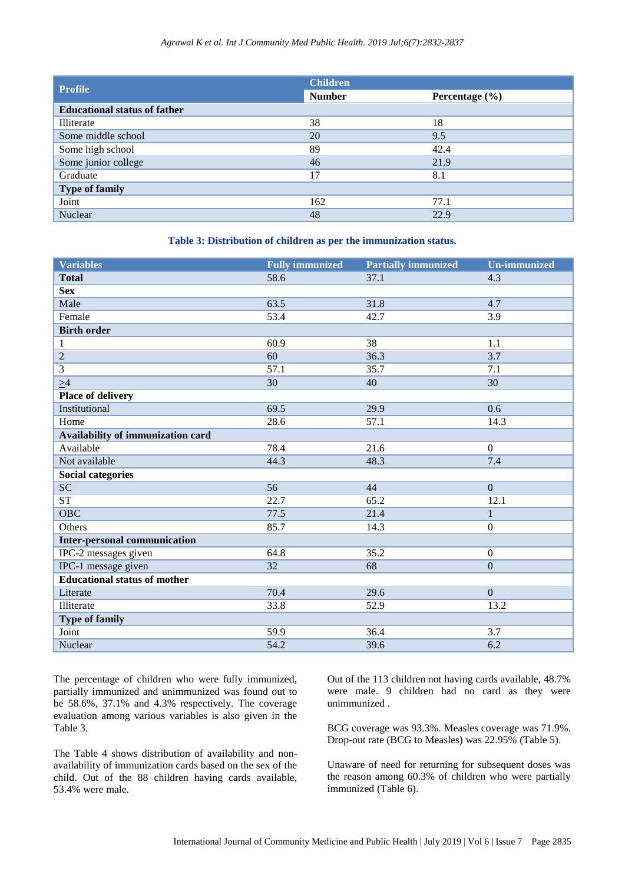| <b>Profile</b>                      | <b>Children</b> |                    |  |  |  |
|-------------------------------------|-----------------|--------------------|--|--|--|
|                                     | <b>Number</b>   | Percentage $(\% )$ |  |  |  |
| <b>Educational status of father</b> |                 |                    |  |  |  |
| Illiterate                          | 38              | 18                 |  |  |  |
| Some middle school                  | 20              | 9.5                |  |  |  |
| Some high school                    | 89              | 42.4               |  |  |  |
| Some junior college                 | 46              | 21.9               |  |  |  |
| Graduate                            | 17              | 8.1                |  |  |  |
| <b>Type of family</b>               |                 |                    |  |  |  |
| Joint                               | 162             | 77.1               |  |  |  |
| Nuclear                             | 48              | 22.9               |  |  |  |

### **Table 3: Distribution of children as per the immunization status.**

| <b>Variables</b>                    | <b>Fully immunized</b> | <b>Partially immunized</b> | <b>Un-immunized</b> |  |
|-------------------------------------|------------------------|----------------------------|---------------------|--|
| <b>Total</b>                        | 58.6                   | 37.1                       | 4.3                 |  |
| <b>Sex</b>                          |                        |                            |                     |  |
| Male                                | 63.5                   | 31.8                       | 4.7                 |  |
| Female                              | 53.4                   | 42.7                       | 3.9                 |  |
| <b>Birth order</b>                  |                        |                            |                     |  |
| $\mathbf{1}$                        | 60.9                   | 38                         | 1.1                 |  |
| $\overline{2}$                      | 60                     | 36.3                       | 3.7                 |  |
| $\mathfrak{Z}$                      | 57.1                   | 35.7                       | 7.1                 |  |
| $\geq 4$                            | 30                     | 40                         | 30                  |  |
| Place of delivery                   |                        |                            |                     |  |
| Institutional                       | 69.5                   | 29.9                       | 0.6                 |  |
| Home                                | 28.6                   | 57.1                       | 14.3                |  |
| Availability of immunization card   |                        |                            |                     |  |
| Available                           | 78.4                   | 21.6                       | $\mathbf{0}$        |  |
| Not available                       | 44.3                   | 48.3                       | 7.4                 |  |
| <b>Social categories</b>            |                        |                            |                     |  |
| <b>SC</b>                           | 56                     | 44                         | $\overline{0}$      |  |
| ${\cal ST}$                         | 22.7                   | 65.2                       | 12.1                |  |
| <b>OBC</b>                          | 77.5                   | 21.4                       | $\mathbf{1}$        |  |
| Others                              | 85.7                   | 14.3                       | $\boldsymbol{0}$    |  |
| <b>Inter-personal communication</b> |                        |                            |                     |  |
| IPC-2 messages given                | 64.8                   | 35.2                       | $\boldsymbol{0}$    |  |
| IPC-1 message given                 | 32                     | 68                         | $\overline{0}$      |  |
| <b>Educational status of mother</b> |                        |                            |                     |  |
| Literate                            | 70.4                   | 29.6                       | $\mathbf{0}$        |  |
| Illiterate                          | 33.8                   | 52.9                       | 13.2                |  |
| <b>Type of family</b>               |                        |                            |                     |  |
| Joint                               | 59.9                   | 36.4                       | 3.7                 |  |
| Nuclear                             | 54.2                   | 39.6                       | 6.2                 |  |

The percentage of children who were fully immunized, partially immunized and unimmunized was found out to be 58.6%, 37.1% and 4.3% respectively. The coverage evaluation among various variables is also given in the Table 3.

The Table 4 shows distribution of availability and nonavailability of immunization cards based on the sex of the child. Out of the 88 children having cards available, 53.4% were male.

Out of the 113 children not having cards available, 48.7% were male. 9 children had no card as they were unimmunized .

BCG coverage was 93.3%. Measles coverage was 71.9%. Drop-out rate (BCG to Measles) was 22.95% (Table 5).

Unaware of need for returning for subsequent doses was the reason among 60.3% of children who were partially immunized (Table 6).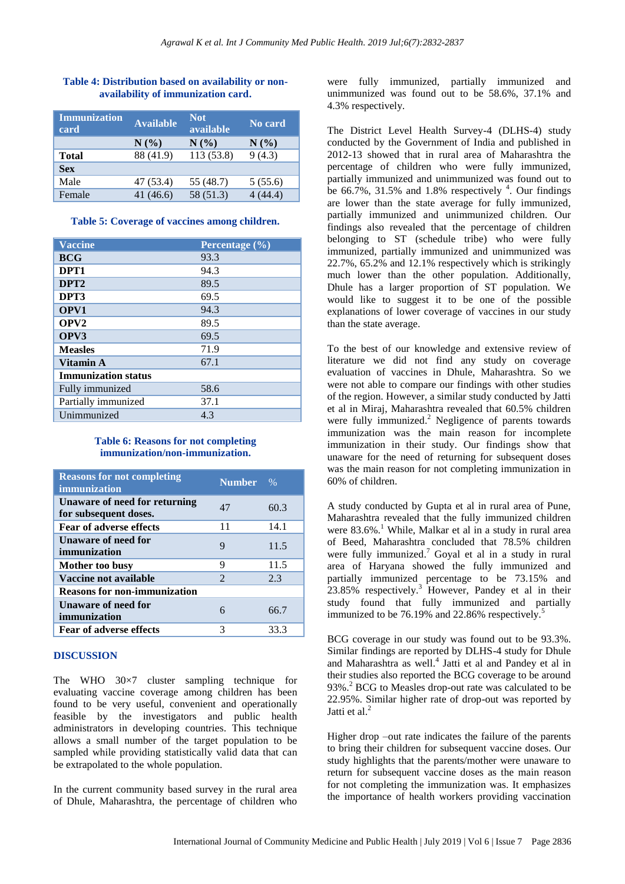| Immunization<br>card | <b>Available</b> | <b>Not</b><br>available | No card  |
|----------------------|------------------|-------------------------|----------|
|                      | N(%)             | $N(\%)$                 | $N(\%)$  |
| <b>Total</b>         | 88 (41.9)        | 113 (53.8)              | 9(4.3)   |
| <b>Sex</b>           |                  |                         |          |
| Male                 | 47 (53.4)        | 55 (48.7)               | 5(55.6)  |
| Female               | 41(46.6)         | 58 (51.3)               | 4 (44.4) |

## **Table 4: Distribution based on availability or nonavailability of immunization card.**

### **Table 5: Coverage of vaccines among children.**

| <b>Vaccine</b>             | Percentage $(\% )$ |  |  |  |
|----------------------------|--------------------|--|--|--|
| <b>BCG</b>                 | 93.3               |  |  |  |
| DPT <sub>1</sub>           | 94.3               |  |  |  |
| DPT <sub>2</sub>           | 89.5               |  |  |  |
| DPT3                       | 69.5               |  |  |  |
| OPV1                       | 94.3               |  |  |  |
| OPV <sub>2</sub>           | 89.5               |  |  |  |
| OPV3                       | 69.5               |  |  |  |
| <b>Measles</b>             | 71.9               |  |  |  |
| Vitamin A                  | 67.1               |  |  |  |
| <b>Immunization status</b> |                    |  |  |  |
| Fully immunized            | 58.6               |  |  |  |
| Partially immunized        | 37.1               |  |  |  |
| Unimmunized                | 4.3                |  |  |  |

#### **Table 6: Reasons for not completing immunization/non-immunization.**

| <b>Reasons for not completing</b><br>immunization      | <b>Number</b>  | $\%$ |  |  |
|--------------------------------------------------------|----------------|------|--|--|
| Unaware of need for returning<br>for subsequent doses. | 47             | 60.3 |  |  |
| <b>Fear of adverse effects</b>                         | 11             | 14.1 |  |  |
| Unaware of need for<br>immunization                    | 9              | 11.5 |  |  |
| Mother too busy                                        | 9              | 11.5 |  |  |
| Vaccine not available                                  | $\mathfrak{D}$ | 2.3  |  |  |
| <b>Reasons for non-immunization</b>                    |                |      |  |  |
| <b>Unaware of need for</b><br>immunization             | 6              | 66.7 |  |  |
| <b>Fear of adverse effects</b>                         | 3              | 33.3 |  |  |

#### **DISCUSSION**

The WHO 30×7 cluster sampling technique for evaluating vaccine coverage among children has been found to be very useful, convenient and operationally feasible by the investigators and public health administrators in developing countries. This technique allows a small number of the target population to be sampled while providing statistically valid data that can be extrapolated to the whole population.

In the current community based survey in the rural area of Dhule, Maharashtra, the percentage of children who

were fully immunized, partially immunized and unimmunized was found out to be 58.6%, 37.1% and 4.3% respectively.

The District Level Health Survey-4 (DLHS-4) study conducted by the Government of India and published in 2012-13 showed that in rural area of Maharashtra the percentage of children who were fully immunized, partially immunized and unimmunized was found out to be 66.7%, 31.5% and 1.8% respectively  $4$ . Our findings are lower than the state average for fully immunized, partially immunized and unimmunized children. Our findings also revealed that the percentage of children belonging to ST (schedule tribe) who were fully immunized, partially immunized and unimmunized was 22.7%, 65.2% and 12.1% respectively which is strikingly much lower than the other population. Additionally, Dhule has a larger proportion of ST population. We would like to suggest it to be one of the possible explanations of lower coverage of vaccines in our study than the state average.

To the best of our knowledge and extensive review of literature we did not find any study on coverage evaluation of vaccines in Dhule, Maharashtra. So we were not able to compare our findings with other studies of the region. However, a similar study conducted by Jatti et al in Miraj, Maharashtra revealed that 60.5% children were fully immunized. <sup>2</sup> Negligence of parents towards immunization was the main reason for incomplete immunization in their study. Our findings show that unaware for the need of returning for subsequent doses was the main reason for not completing immunization in 60% of children.

A study conducted by Gupta et al in rural area of Pune, Maharashtra revealed that the fully immunized children were 83.6%. <sup>1</sup> While, Malkar et al in a study in rural area of Beed, Maharashtra concluded that 78.5% children were fully immunized. <sup>7</sup> Goyal et al in a study in rural area of Haryana showed the fully immunized and partially immunized percentage to be 73.15% and  $23.85\%$  respectively.<sup>3</sup> However, Pandey et al in their study found that fully immunized and partially immunized to be 76.19% and 22.86% respectively.<sup>5</sup>

BCG coverage in our study was found out to be 93.3%. Similar findings are reported by DLHS-4 study for Dhule and Maharashtra as well. 4 Jatti et al and Pandey et al in their studies also reported the BCG coverage to be around 93%.<sup>2</sup> BCG to Measles drop-out rate was calculated to be 22.95%. Similar higher rate of drop-out was reported by Jatti et al.<sup>2</sup>

Higher drop –out rate indicates the failure of the parents to bring their children for subsequent vaccine doses. Our study highlights that the parents/mother were unaware to return for subsequent vaccine doses as the main reason for not completing the immunization was. It emphasizes the importance of health workers providing vaccination